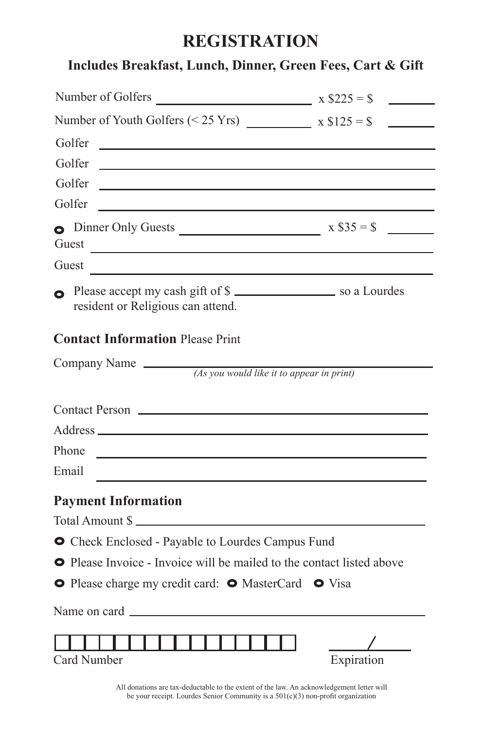## **REGISTRATION**

## **Includes Breakfast, Lunch, Dinner, Green Fees, Cart & Gift**

| Number of Golfers $\frac{1}{2\pi}$ x \$225 = \$                                                                                                                                                                                                |                      |
|------------------------------------------------------------------------------------------------------------------------------------------------------------------------------------------------------------------------------------------------|----------------------|
|                                                                                                                                                                                                                                                | <u>and the state</u> |
| Golfer                                                                                                                                                                                                                                         |                      |
| Golfer<br><u>and the state of the state of the state of the state of the state of the state of the state of the state of the state of the state of the state of the state of the state of the state of the state of the state of the state</u> |                      |
| Golfer<br><u> 1989 - Johann Stein, marwolaethau a bhann an t-Amhain an t-Amhain an t-Amhain an t-Amhain an t-Amhain an t-A</u>                                                                                                                 |                      |
| Golfer<br><u> Alexandria de la contrada de la contrada de la contrada de la contrada de la contrada de la contrada de la c</u>                                                                                                                 |                      |
| • Dinner Only Guests $\frac{x \cdot 35}{5} = 12$                                                                                                                                                                                               |                      |
|                                                                                                                                                                                                                                                |                      |
| Please accept my cash gift of \$<br>resident or Religious can attend.                                                                                                                                                                          |                      |
| <b>Contact Information Please Print</b>                                                                                                                                                                                                        |                      |
| Company Name $\frac{1}{(As you would like it to appear in print)}$                                                                                                                                                                             |                      |
|                                                                                                                                                                                                                                                |                      |
|                                                                                                                                                                                                                                                |                      |
| Phone<br><u> 1989 - Johann Stein, marwolaethau a bhann an t-Amhainn an t-Amhainn an t-Amhainn an t-Amhainn an t-Amhainn an</u>                                                                                                                 |                      |
| Email                                                                                                                                                                                                                                          |                      |
| <b>Payment Information</b>                                                                                                                                                                                                                     |                      |
| Total Amount \$                                                                                                                                                                                                                                |                      |
| O Check Enclosed - Payable to Lourdes Campus Fund                                                                                                                                                                                              |                      |
| • Please Invoice - Invoice will be mailed to the contact listed above                                                                                                                                                                          |                      |
| O Please charge my credit card: O MasterCard O Visa                                                                                                                                                                                            |                      |
| Name on card                                                                                                                                                                                                                                   |                      |
| Card Number                                                                                                                                                                                                                                    | Expiration           |

All donations are tax-deductable to the extent of the law. An acknowledgement letter will be your receipt. Lourdes Senior Community is a 501(c)(3) non-profit organization